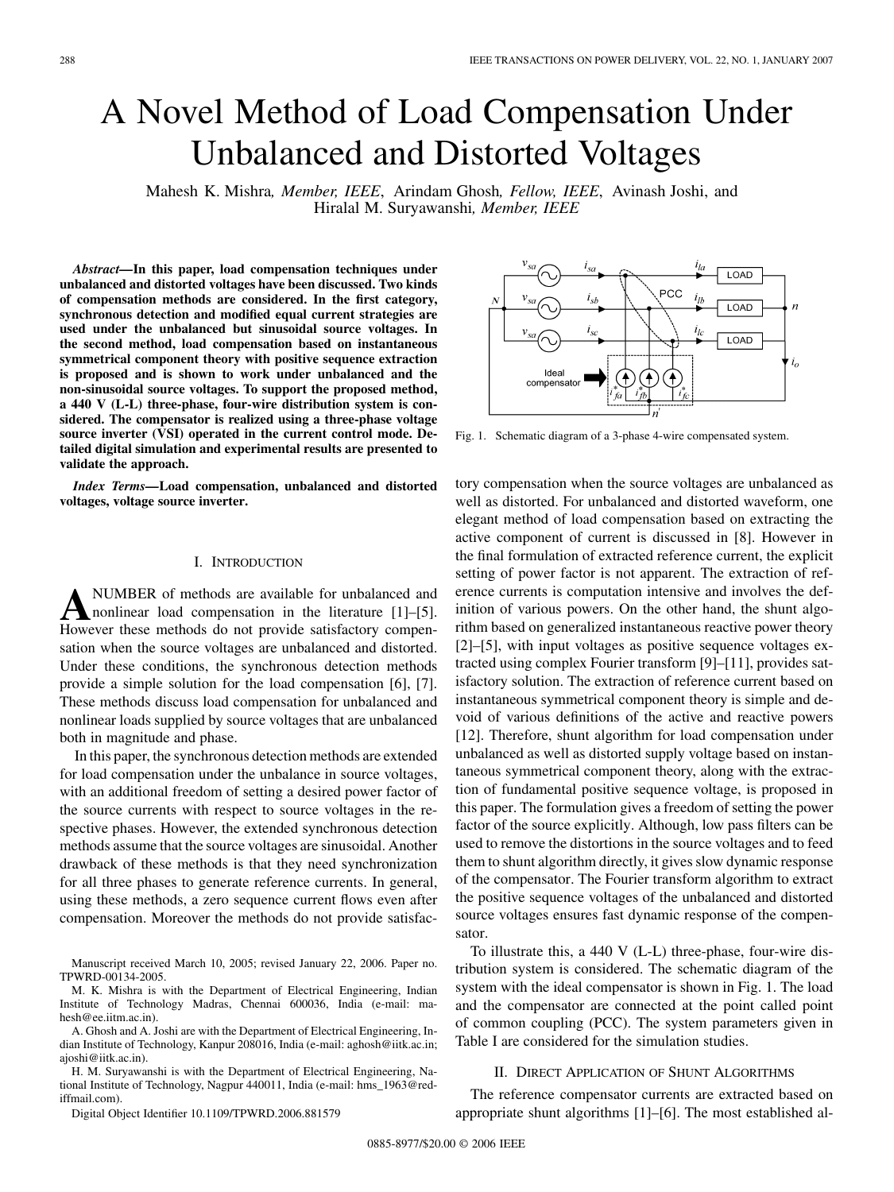# <span id="page-0-0"></span>A Novel Method of Load Compensation Under Unbalanced and Distorted Voltages

Mahesh K. Mishra*, Member, IEEE*, Arindam Ghosh*, Fellow, IEEE*, Avinash Joshi, and Hiralal M. Suryawanshi*, Member, IEEE*

*Abstract—***In this paper, load compensation techniques under unbalanced and distorted voltages have been discussed. Two kinds of compensation methods are considered. In the first category, synchronous detection and modified equal current strategies are used under the unbalanced but sinusoidal source voltages. In the second method, load compensation based on instantaneous symmetrical component theory with positive sequence extraction is proposed and is shown to work under unbalanced and the non-sinusoidal source voltages. To support the proposed method, a 440 V (L-L) three-phase, four-wire distribution system is considered. The compensator is realized using a three-phase voltage source inverter (VSI) operated in the current control mode. Detailed digital simulation and experimental results are presented to validate the approach.**

*Index Terms—***Load compensation, unbalanced and distorted voltages, voltage source inverter.**

#### I. INTRODUCTION

**A**NUMBER of methods are available for unbalanced and nonlinear load compensation in the literature [\[1\]–\[5\]](#page-6-0). However these methods do not provide satisfactory compensation when the source voltages are unbalanced and distorted. Under these conditions, the synchronous detection methods provide a simple solution for the load compensation [\[6\]](#page-6-0), [\[7\]](#page-6-0). These methods discuss load compensation for unbalanced and nonlinear loads supplied by source voltages that are unbalanced both in magnitude and phase.

In this paper, the synchronous detection methods are extended for load compensation under the unbalance in source voltages, with an additional freedom of setting a desired power factor of the source currents with respect to source voltages in the respective phases. However, the extended synchronous detection methods assume that the source voltages are sinusoidal. Another drawback of these methods is that they need synchronization for all three phases to generate reference currents. In general, using these methods, a zero sequence current flows even after compensation. Moreover the methods do not provide satisfac-

Manuscript received March 10, 2005; revised January 22, 2006. Paper no. TPWRD-00134-2005.

M. K. Mishra is with the Department of Electrical Engineering, Indian Institute of Technology Madras, Chennai 600036, India (e-mail: mahesh@ee.iitm.ac.in).

A. Ghosh and A. Joshi are with the Department of Electrical Engineering, Indian Institute of Technology, Kanpur 208016, India (e-mail: aghosh@iitk.ac.in; ajoshi@iitk.ac.in).

H. M. Suryawanshi is with the Department of Electrical Engineering, National Institute of Technology, Nagpur 440011, India (e-mail: hms\_1963@rediffmail.com).

Digital Object Identifier 10.1109/TPWRD.2006.881579



Fig. 1. Schematic diagram of a 3-phase 4-wire compensated system.

tory compensation when the source voltages are unbalanced as well as distorted. For unbalanced and distorted waveform, one elegant method of load compensation based on extracting the active component of current is discussed in [\[8\]](#page-6-0). However in the final formulation of extracted reference current, the explicit setting of power factor is not apparent. The extraction of reference currents is computation intensive and involves the definition of various powers. On the other hand, the shunt algorithm based on generalized instantaneous reactive power theory [\[2\]–\[5\],](#page-6-0) with input voltages as positive sequence voltages extracted using complex Fourier transform [\[9\]–\[11\]](#page-6-0), provides satisfactory solution. The extraction of reference current based on instantaneous symmetrical component theory is simple and devoid of various definitions of the active and reactive powers [\[12\]](#page-6-0). Therefore, shunt algorithm for load compensation under unbalanced as well as distorted supply voltage based on instantaneous symmetrical component theory, along with the extraction of fundamental positive sequence voltage, is proposed in this paper. The formulation gives a freedom of setting the power factor of the source explicitly. Although, low pass filters can be used to remove the distortions in the source voltages and to feed them to shunt algorithm directly, it gives slow dynamic response of the compensator. The Fourier transform algorithm to extract the positive sequence voltages of the unbalanced and distorted source voltages ensures fast dynamic response of the compensator.

To illustrate this, a 440 V (L-L) three-phase, four-wire distribution system is considered. The schematic diagram of the system with the ideal compensator is shown in Fig. 1. The load and the compensator are connected at the point called point of common coupling (PCC). The system parameters given in [Table I](#page-1-0) are considered for the simulation studies.

#### II. DIRECT APPLICATION OF SHUNT ALGORITHMS

The reference compensator currents are extracted based on appropriate shunt algorithms [\[1\]–\[6\]](#page-6-0). The most established al-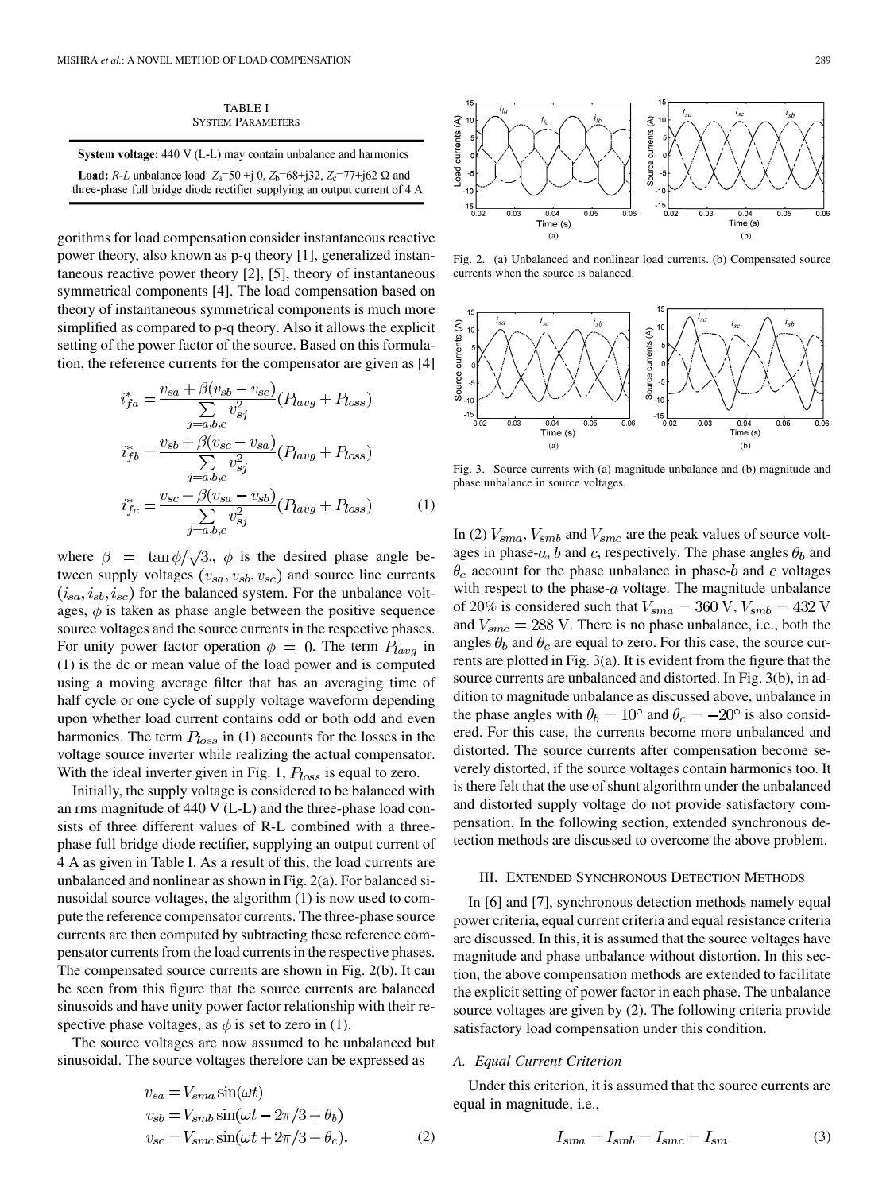| <b>TABLE I</b>           |
|--------------------------|
| <b>SYSTEM PARAMETERS</b> |

<span id="page-1-0"></span>

| <b>System voltage:</b> $440 \text{ V}$ (L-L) may contain unbalance and harmonics                  |
|---------------------------------------------------------------------------------------------------|
| <b>Load:</b> R-L unbalance load: $Z_3 = 50 + 10$ , $Z_5 = 68 + 132$ , $Z_6 = 77 + 162 \Omega$ and |
| three-phase full bridge diode rectifier supplying an output current of 4 A                        |

gorithms for load compensation consider instantaneous reactive power theory, also known as p-q theory [\[1\],](#page-6-0) generalized instantaneous reactive power theory [\[2\]](#page-6-0), [\[5\],](#page-6-0) theory of instantaneous symmetrical components [\[4\].](#page-6-0) The load compensation based on theory of instantaneous symmetrical components is much more simplified as compared to p-q theory. Also it allows the explicit setting of the power factor of the source. Based on this formulation, the reference currents for the compensator are given as [\[4\]](#page-6-0)

$$
i_{fa}^* = \frac{v_{sa} + \beta(v_{sb} - v_{sc})}{\sum_{j=a,b,c} v_{sj}^2} (P_{lavg} + P_{loss})
$$
  

$$
i_{fb}^* = \frac{v_{sb} + \beta(v_{sc} - v_{sa})}{\sum_{j=a,b,c} v_{sj}^2} (P_{lavg} + P_{loss})
$$
  

$$
i_{fc}^* = \frac{v_{sc} + \beta(v_{sa} - v_{sb})}{\sum_{j=a,b,c} v_{sj}^2} (P_{lavg} + P_{loss})
$$
 (1)

where  $\beta = \tan \phi / \sqrt{3}$ ,  $\phi$  is the desired phase angle between supply voltages  $(v_{sa}, v_{sb}, v_{sc})$  and source line currents  $(i_{sa}, i_{sb}, i_{sc})$  for the balanced system. For the unbalance voltages,  $\phi$  is taken as phase angle between the positive sequence source voltages and the source currents in the respective phases. For unity power factor operation  $\phi = 0$ . The term  $P_{lava}$  in (1) is the dc or mean value of the load power and is computed using a moving average filter that has an averaging time of half cycle or one cycle of supply voltage waveform depending upon whether load current contains odd or both odd and even harmonics. The term  $P_{loss}$  in (1) accounts for the losses in the voltage source inverter while realizing the actual compensator. With the ideal inverter given in [Fig. 1,](#page-0-0)  $P_{loss}$  is equal to zero.

Initially, the supply voltage is considered to be balanced with an rms magnitude of 440 V (L-L) and the three-phase load consists of three different values of R-L combined with a threephase full bridge diode rectifier, supplying an output current of 4 A as given in Table I. As a result of this, the load currents are unbalanced and nonlinear as shown in Fig. 2(a). For balanced sinusoidal source voltages, the algorithm (1) is now used to compute the reference compensator currents. The three-phase source currents are then computed by subtracting these reference compensator currents from the load currents in the respective phases. The compensated source currents are shown in Fig. 2(b). It can be seen from this figure that the source currents are balanced sinusoids and have unity power factor relationship with their respective phase voltages, as  $\phi$  is set to zero in (1).

The source voltages are now assumed to be unbalanced but sinusoidal. The source voltages therefore can be expressed as

$$
v_{sa} = V_{sma} \sin(\omega t)
$$
  
\n
$$
v_{sb} = V_{smb} \sin(\omega t - 2\pi/3 + \theta_b)
$$
  
\n
$$
v_{sc} = V_{smc} \sin(\omega t + 2\pi/3 + \theta_c).
$$
\n(2)



Fig. 2. (a) Unbalanced and nonlinear load currents. (b) Compensated source currents when the source is balanced.



Fig. 3. Source currents with (a) magnitude unbalance and (b) magnitude and phase unbalance in source voltages.

In (2)  $V_{sma}$ ,  $V_{smb}$  and  $V_{smc}$  are the peak values of source voltages in phase-a, b and c, respectively. The phase angles  $\theta_b$  and  $\theta_c$  account for the phase unbalance in phase-b and c voltages with respect to the phase- $a$  voltage. The magnitude unbalance of 20% is considered such that  $V_{sma} = 360 \text{ V}, V_{smb} = 432 \text{ V}$ and  $V_{smc} = 288$  V. There is no phase unbalance, i.e., both the angles  $\theta_b$  and  $\theta_c$  are equal to zero. For this case, the source currents are plotted in Fig. 3(a). It is evident from the figure that the source currents are unbalanced and distorted. In Fig. 3(b), in addition to magnitude unbalance as discussed above, unbalance in the phase angles with  $\theta_b = 10^{\circ}$  and  $\theta_c = -20^{\circ}$  is also considered. For this case, the currents become more unbalanced and distorted. The source currents after compensation become severely distorted, if the source voltages contain harmonics too. It is there felt that the use of shunt algorithm under the unbalanced and distorted supply voltage do not provide satisfactory compensation. In the following section, extended synchronous detection methods are discussed to overcome the above problem.

#### III. EXTENDED SYNCHRONOUS DETECTION METHODS

In [\[6\]](#page-6-0) and [\[7\],](#page-6-0) synchronous detection methods namely equal power criteria, equal current criteria and equal resistance criteria are discussed. In this, it is assumed that the source voltages have magnitude and phase unbalance without distortion. In this section, the above compensation methods are extended to facilitate the explicit setting of power factor in each phase. The unbalance source voltages are given by (2). The following criteria provide satisfactory load compensation under this condition.

# *A. Equal Current Criterion*

Under this criterion, it is assumed that the source currents are equal in magnitude, i.e.,

$$
I_{sma} = I_{smb} = I_{smc} = I_{sm}
$$
\n<sup>(3)</sup>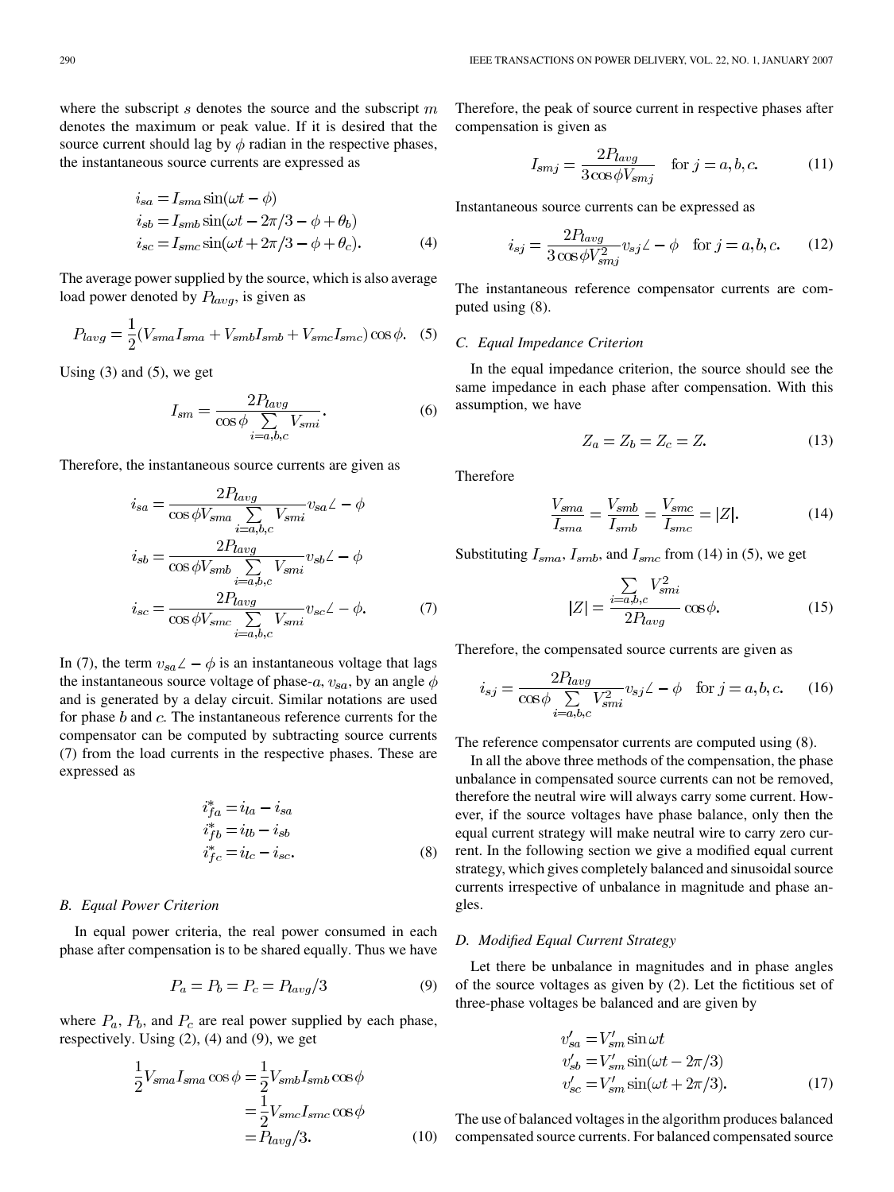<span id="page-2-0"></span>where the subscript  $s$  denotes the source and the subscript  $m$ denotes the maximum or peak value. If it is desired that the source current should lag by  $\phi$  radian in the respective phases, the instantaneous source currents are expressed as

$$
i_{sa} = I_{sma} \sin(\omega t - \phi)
$$
  
\n
$$
i_{sb} = I_{smb} \sin(\omega t - 2\pi/3 - \phi + \theta_b)
$$
  
\n
$$
i_{sc} = I_{smc} \sin(\omega t + 2\pi/3 - \phi + \theta_c).
$$
\n(4)

The average power supplied by the source, which is also average load power denoted by  $P_{lavg}$ , is given as

$$
P_{lavg} = \frac{1}{2}(V_{sma}I_{sma} + V_{smb}I_{smb} + V_{smc}I_{smc})\cos\phi.
$$
 (5)

Using  $(3)$  and  $(5)$ , we get

$$
I_{sm} = \frac{2P_{lavg}}{\cos\phi \sum_{i=a,b,c} V_{smi}}.
$$
 (6)

Therefore, the instantaneous source currents are given as

$$
i_{sa} = \frac{2P_{lavg}}{\cos \phi V_{sma} \sum_{i=a,b,c} V_{smi}} v_{sa} \angle -\phi
$$
  

$$
i_{sb} = \frac{2P_{lavg}}{\cos \phi V_{smb} \sum_{i=a,b,c} V_{smi}} v_{sb} \angle -\phi
$$
  

$$
i_{sc} = \frac{2P_{lavg}}{\cos \phi V_{smc} \sum_{i=a,b,c} V_{smi}} v_{sc} \angle -\phi.
$$
 (7)

In (7), the term  $v_{sa}\angle - \phi$  is an instantaneous voltage that lags the instantaneous source voltage of phase-a,  $v_{sa}$ , by an angle  $\phi$ and is generated by a delay circuit. Similar notations are used for phase  $b$  and  $c$ . The instantaneous reference currents for the compensator can be computed by subtracting source currents (7) from the load currents in the respective phases. These are expressed as

$$
i_{fa}^* = i_{la} - i_{sa}
$$
  
\n
$$
i_{fb}^* = i_{lb} - i_{sb}
$$
  
\n
$$
i_{fc}^* = i_{lc} - i_{sc}.
$$
\n(8)

#### *B. Equal Power Criterion*

In equal power criteria, the real power consumed in each phase after compensation is to be shared equally. Thus we have

$$
P_a = P_b = P_c = P_{lavg}/3\tag{9}
$$

where  $P_a$ ,  $P_b$ , and  $P_c$  are real power supplied by each phase, respectively. Using [\(2\),](#page-1-0) (4) and (9), we get

$$
\frac{1}{2}V_{sma}I_{sma}\cos\phi = \frac{1}{2}V_{smb}I_{smb}\cos\phi
$$

$$
= \frac{1}{2}V_{smc}I_{smc}\cos\phi
$$

$$
= P_{lavg}/3.
$$
 (10)

Therefore, the peak of source current in respective phases after compensation is given as

$$
I_{smj} = \frac{2P_{lavg}}{3\cos\phi V_{smj}} \quad \text{for } j = a, b, c.
$$
 (11)

Instantaneous source currents can be expressed as

$$
i_{sj} = \frac{2P_{lavg}}{3\cos\phi V_{smj}^2} v_{sj} \angle -\phi \quad \text{for } j = a, b, c. \tag{12}
$$

The instantaneous reference compensator currents are computed using (8).

# *C. Equal Impedance Criterion*

In the equal impedance criterion, the source should see the same impedance in each phase after compensation. With this assumption, we have

$$
Z_a = Z_b = Z_c = Z. \tag{13}
$$

Therefore

$$
\frac{V_{sma}}{I_{sma}} = \frac{V_{smb}}{I_{smb}} = \frac{V_{smc}}{I_{smc}} = |Z|.
$$
 (14)

Substituting  $I_{sma}$ ,  $I_{smb}$ , and  $I_{smc}$  from (14) in (5), we get

$$
|Z| = \frac{\sum_{i=a,b,c} V_{smi}^2}{2P_{lavg}} \cos \phi.
$$
 (15)

Therefore, the compensated source currents are given as

$$
i_{sj} = \frac{2P_{lavg}}{\cos\phi \sum_{i=a,b,c} V_{smi}^2} v_{sj} \angle -\phi \quad \text{for } j=a,b,c. \tag{16}
$$

The reference compensator currents are computed using (8).

In all the above three methods of the compensation, the phase unbalance in compensated source currents can not be removed, therefore the neutral wire will always carry some current. However, if the source voltages have phase balance, only then the equal current strategy will make neutral wire to carry zero current. In the following section we give a modified equal current strategy, which gives completely balanced and sinusoidal source currents irrespective of unbalance in magnitude and phase angles.

#### *D. Modified Equal Current Strategy*

Let there be unbalance in magnitudes and in phase angles of the source voltages as given by [\(2\).](#page-1-0) Let the fictitious set of three-phase voltages be balanced and are given by

$$
v'_{sa} = V'_{sm} \sin \omega t
$$
  
\n
$$
v'_{sb} = V'_{sm} \sin(\omega t - 2\pi/3)
$$
  
\n
$$
v'_{sc} = V'_{sm} \sin(\omega t + 2\pi/3).
$$
 (17)

(10) compensated source currents. For balanced compensated sourceThe use of balanced voltages in the algorithm produces balanced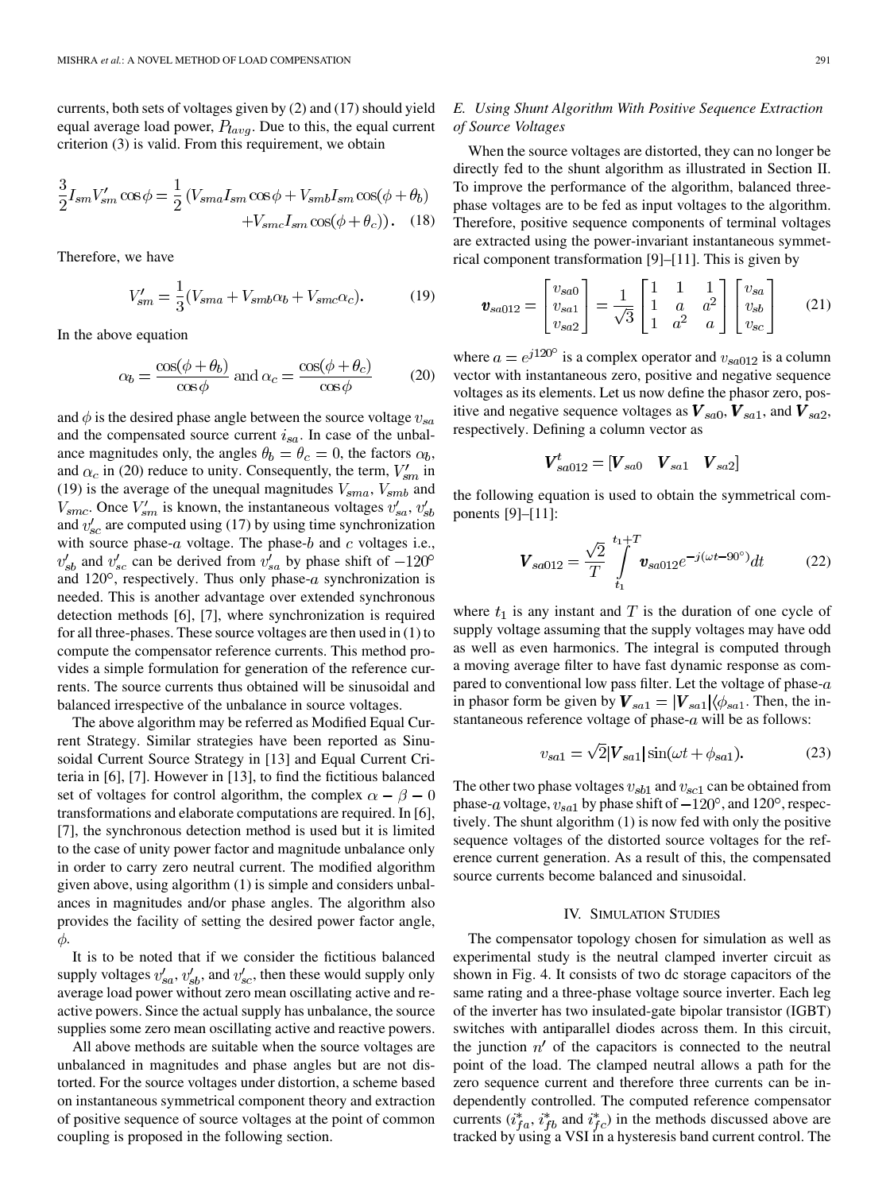<span id="page-3-0"></span>currents, both sets of voltages given by [\(2\)](#page-1-0) and [\(17\)](#page-2-0) should yield equal average load power,  $P_{lavg}$ . Due to this, the equal current criterion [\(3\)](#page-1-0) is valid. From this requirement, we obtain

$$
\frac{3}{2}I_{sm}V'_{sm}\cos\phi = \frac{1}{2}(V_{sma}I_{sm}\cos\phi + V_{smb}I_{sm}\cos(\phi + \theta_b) + V_{smc}I_{sm}\cos(\phi + \theta_c)).
$$
 (18)

Therefore, we have

$$
V'_{sm} = \frac{1}{3}(V_{sma} + V_{smb}\alpha_b + V_{smc}\alpha_c). \tag{19}
$$

In the above equation

$$
\alpha_b = \frac{\cos(\phi + \theta_b)}{\cos \phi} \text{ and } \alpha_c = \frac{\cos(\phi + \theta_c)}{\cos \phi} \tag{20}
$$

and  $\phi$  is the desired phase angle between the source voltage  $v_{sa}$ and the compensated source current  $i_{sa}$ . In case of the unbalance magnitudes only, the angles  $\theta_b = \theta_c = 0$ , the factors  $\alpha_b$ , and  $\alpha_c$  in (20) reduce to unity. Consequently, the term,  $V'_{sm}$  in (19) is the average of the unequal magnitudes  $V_{sma}$ ,  $V_{smb}$  and  $V_{smc}$ . Once  $V'_{sm}$  is known, the instantaneous voltages  $v'_{sa}$ ,  $v'_{sb}$ and  $v'_{sc}$  are computed using [\(17\)](#page-2-0) by using time synchronization with source phase- $a$  voltage. The phase- $b$  and  $c$  voltages i.e.,  $v_{sb}$  and  $v_{sc}$  can be derived from  $v_{sa}$  by phase shift of  $-120^{\circ}$ and 120 $^{\circ}$ , respectively. Thus only phase-a synchronization is needed. This is another advantage over extended synchronous detection methods [\[6\]](#page-6-0), [\[7\],](#page-6-0) where synchronization is required for all three-phases. These source voltages are then used in [\(1\)](#page-1-0) to compute the compensator reference currents. This method provides a simple formulation for generation of the reference currents. The source currents thus obtained will be sinusoidal and balanced irrespective of the unbalance in source voltages.

The above algorithm may be referred as Modified Equal Current Strategy. Similar strategies have been reported as Sinusoidal Current Source Strategy in [\[13\]](#page-7-0) and Equal Current Criteria in [\[6\]](#page-6-0), [\[7\]](#page-6-0). However in [\[13\],](#page-7-0) to find the fictitious balanced set of voltages for control algorithm, the complex  $\alpha - \beta - 0$ transformations and elaborate computations are required. In [\[6\],](#page-6-0) [\[7\],](#page-6-0) the synchronous detection method is used but it is limited to the case of unity power factor and magnitude unbalance only in order to carry zero neutral current. The modified algorithm given above, using algorithm [\(1\)](#page-1-0) is simple and considers unbalances in magnitudes and/or phase angles. The algorithm also provides the facility of setting the desired power factor angle,  $\phi$ .

It is to be noted that if we consider the fictitious balanced supply voltages  $v'_{sa}$ ,  $v'_{sb}$ , and  $v'_{sc}$ , then these would supply only average load power without zero mean oscillating active and reactive powers. Since the actual supply has unbalance, the source supplies some zero mean oscillating active and reactive powers.

All above methods are suitable when the source voltages are unbalanced in magnitudes and phase angles but are not distorted. For the source voltages under distortion, a scheme based on instantaneous symmetrical component theory and extraction of positive sequence of source voltages at the point of common coupling is proposed in the following section.

# *E. Using Shunt Algorithm With Positive Sequence Extraction of Source Voltages*

When the source voltages are distorted, they can no longer be directly fed to the shunt algorithm as illustrated in [Section II.](#page-0-0) To improve the performance of the algorithm, balanced threephase voltages are to be fed as input voltages to the algorithm. Therefore, positive sequence components of terminal voltages are extracted using the power-invariant instantaneous symmetrical component transformation [\[9\]–\[11\].](#page-6-0) This is given by

$$
\mathbf{v}_{sa012} = \begin{bmatrix} v_{sa0} \\ v_{sa1} \\ v_{sa2} \end{bmatrix} = \frac{1}{\sqrt{3}} \begin{bmatrix} 1 & 1 & 1 \\ 1 & a & a^2 \\ 1 & a^2 & a \end{bmatrix} \begin{bmatrix} v_{sa} \\ v_{sb} \\ v_{sc} \end{bmatrix}
$$
 (21)

where  $a = e^{j120^{\circ}}$  is a complex operator and  $v_{sa012}$  is a column vector with instantaneous zero, positive and negative sequence voltages as its elements. Let us now define the phasor zero, positive and negative sequence voltages as  $V_{sa0}$ ,  $V_{sa1}$ , and  $V_{sa2}$ , respectively. Defining a column vector as

$$
\boldsymbol{V}_{sa012}^{t} = \left[\boldsymbol{V}_{sa0} \quad \boldsymbol{V}_{sa1} \quad \boldsymbol{V}_{sa2}\right]
$$

the following equation is used to obtain the symmetrical components [\[9\]–\[11\]](#page-6-0):

$$
V_{sa012} = \frac{\sqrt{2}}{T} \int_{t_1}^{t_1+T} v_{sa012} e^{-j(\omega t - 90^\circ)} dt
$$
 (22)

where  $t_1$  is any instant and T is the duration of one cycle of supply voltage assuming that the supply voltages may have odd as well as even harmonics. The integral is computed through a moving average filter to have fast dynamic response as compared to conventional low pass filter. Let the voltage of phase- $a$ in phasor form be given by  $V_{sa1} = |V_{sa1}| \langle \phi_{sa1}$ . Then, the instantaneous reference voltage of phase- $a$  will be as follows:

$$
v_{sa1} = \sqrt{2} |\mathbf{V}_{sa1}| \sin(\omega t + \phi_{sa1}). \tag{23}
$$

The other two phase voltages  $v_{sb1}$  and  $v_{sc1}$  can be obtained from phase-a voltage,  $v_{sa1}$  by phase shift of  $-120^{\circ}$ , and 120<sup>°</sup>, respectively. The shunt algorithm [\(1\)](#page-1-0) is now fed with only the positive sequence voltages of the distorted source voltages for the reference current generation. As a result of this, the compensated source currents become balanced and sinusoidal.

#### IV. SIMULATION STUDIES

The compensator topology chosen for simulation as well as experimental study is the neutral clamped inverter circuit as shown in [Fig. 4](#page-4-0). It consists of two dc storage capacitors of the same rating and a three-phase voltage source inverter. Each leg of the inverter has two insulated-gate bipolar transistor (IGBT) switches with antiparallel diodes across them. In this circuit, the junction  $n'$  of the capacitors is connected to the neutral point of the load. The clamped neutral allows a path for the zero sequence current and therefore three currents can be independently controlled. The computed reference compensator currents  $(i_{fa}^*, i_{fb}^*$  and  $i_{fc}^*$ ) in the methods discussed above are tracked by using a VSI in a hysteresis band current control. The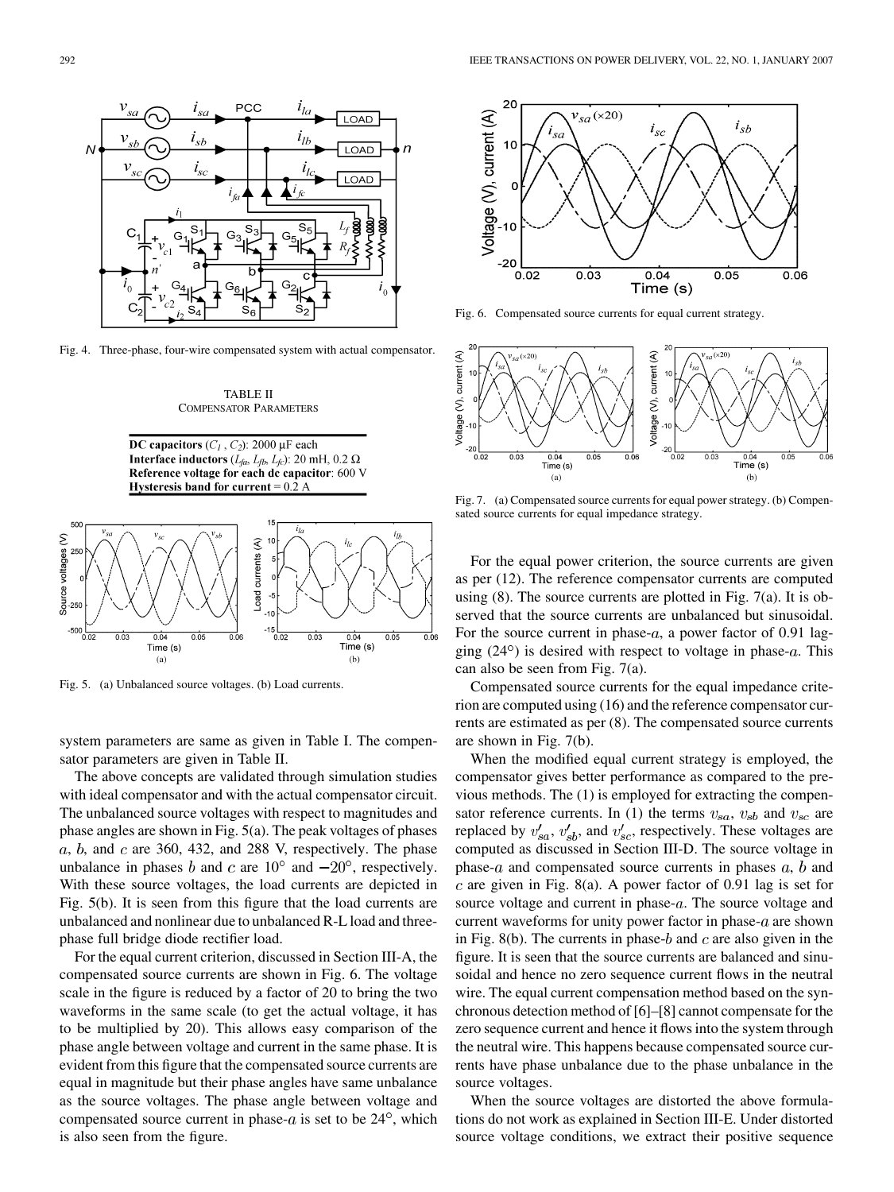<span id="page-4-0"></span>

Fig. 4. Three-phase, four-wire compensated system with actual compensator.



DC capacitors  $(C_1, C_2)$ : 2000 µF each **Interface inductors**  $(L_{fa}, L_{fb}, L_{fc})$ : 20 mH, 0.2  $\Omega$ Reference voltage for each dc capacitor: 600 V Hysteresis band for current  $= 0.2 A$ 



Fig. 5. (a) Unbalanced source voltages. (b) Load currents.

system parameters are same as given in [Table I.](#page-1-0) The compensator parameters are given in Table II.

The above concepts are validated through simulation studies with ideal compensator and with the actual compensator circuit. The unbalanced source voltages with respect to magnitudes and phase angles are shown in Fig. 5(a). The peak voltages of phases  $a, b$ , and  $c$  are 360, 432, and 288 V, respectively. The phase unbalance in phases b and c are  $10^{\circ}$  and  $-20^{\circ}$ , respectively. With these source voltages, the load currents are depicted in Fig. 5(b). It is seen from this figure that the load currents are unbalanced and nonlinear due to unbalanced R-L load and threephase full bridge diode rectifier load.

For the equal current criterion, discussed in [Section III-A,](#page-1-0) the compensated source currents are shown in Fig. 6. The voltage scale in the figure is reduced by a factor of 20 to bring the two waveforms in the same scale (to get the actual voltage, it has to be multiplied by 20). This allows easy comparison of the phase angle between voltage and current in the same phase. It is evident from this figure that the compensated source currents are equal in magnitude but their phase angles have same unbalance as the source voltages. The phase angle between voltage and compensated source current in phase- $a$  is set to be  $24^{\circ}$ , which is also seen from the figure.



Fig. 6. Compensated source currents for equal current strategy.



Fig. 7. (a) Compensated source currents for equal power strategy. (b) Compensated source currents for equal impedance strategy.

For the equal power criterion, the source currents are given as per [\(12\)](#page-2-0). The reference compensator currents are computed using  $(8)$ . The source currents are plotted in Fig. 7 $(a)$ . It is observed that the source currents are unbalanced but sinusoidal. For the source current in phase- $a$ , a power factor of 0.91 lagging  $(24^{\circ})$  is desired with respect to voltage in phase-a. This can also be seen from Fig. 7(a).

Compensated source currents for the equal impedance criterion are computed using [\(16\)](#page-2-0) and the reference compensator currents are estimated as per [\(8\)](#page-2-0). The compensated source currents are shown in Fig. 7(b).

When the modified equal current strategy is employed, the compensator gives better performance as compared to the previous methods. The [\(1\)](#page-1-0) is employed for extracting the compen-sator reference currents. In [\(1\)](#page-1-0) the terms  $v_{sa}$ ,  $v_{sb}$  and  $v_{sc}$  are replaced by  $v'_{sa}$ ,  $v'_{sb}$ , and  $v'_{sc}$ , respectively. These voltages are computed as discussed in [Section III-D](#page-2-0). The source voltage in phase- $a$  and compensated source currents in phases  $a, b$  and c are given in [Fig. 8\(a\).](#page-5-0) A power factor of 0.91 lag is set for source voltage and current in phase- $a$ . The source voltage and current waveforms for unity power factor in phase- $a$  are shown in [Fig. 8\(b\).](#page-5-0) The currents in phase- $b$  and  $c$  are also given in the figure. It is seen that the source currents are balanced and sinusoidal and hence no zero sequence current flows in the neutral wire. The equal current compensation method based on the synchronous detection method of [\[6\]–\[8\]](#page-6-0) cannot compensate for the zero sequence current and hence it flows into the system through the neutral wire. This happens because compensated source currents have phase unbalance due to the phase unbalance in the source voltages.

When the source voltages are distorted the above formulations do not work as explained in [Section III-E.](#page-3-0) Under distorted source voltage conditions, we extract their positive sequence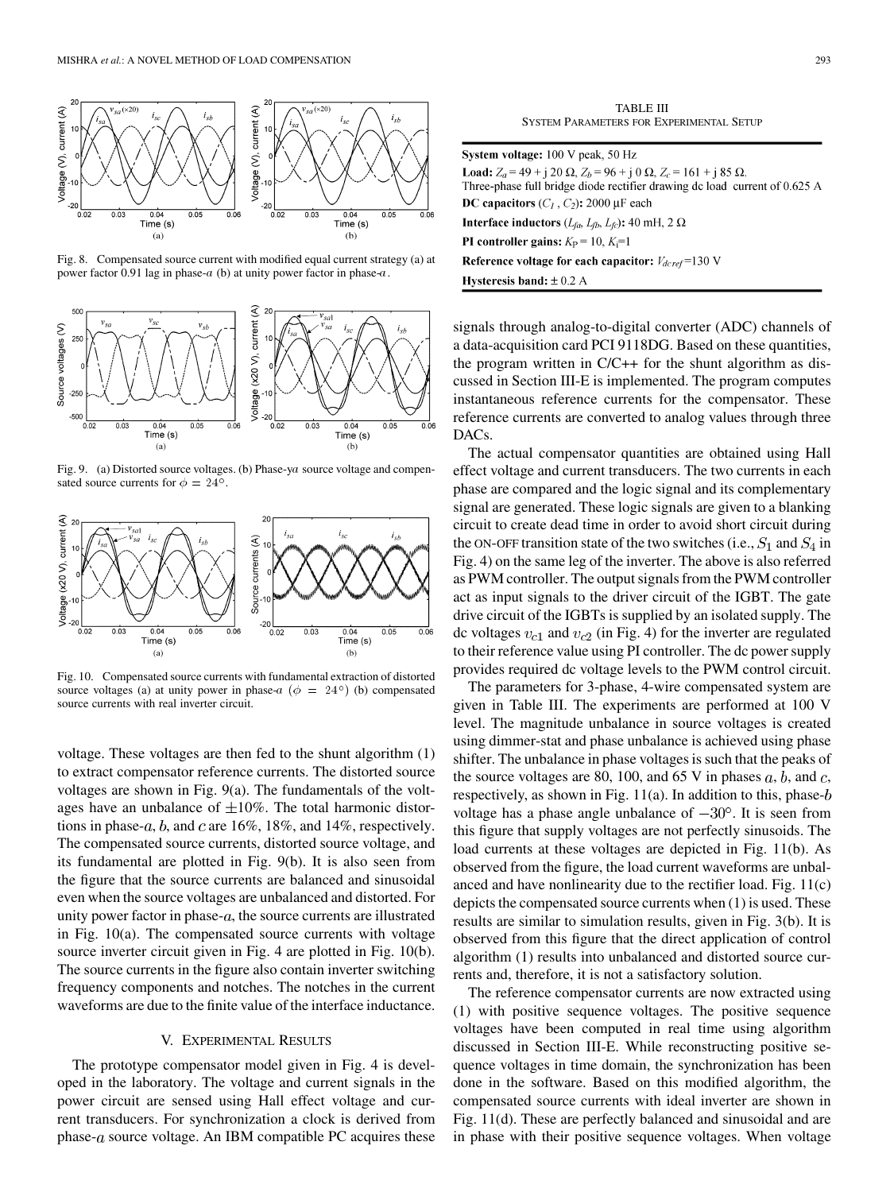<span id="page-5-0"></span>

Fig. 8. Compensated source current with modified equal current strategy (a) at power factor 0.91 lag in phase-a (b) at unity power factor in phase-a.



Fig. 9. (a) Distorted source voltages. (b) Phase-ya source voltage and compensated source currents for  $\phi = 24^{\circ}$ .



Fig. 10. Compensated source currents with fundamental extraction of distorted source voltages (a) at unity power in phase-a ( $\phi = 24^{\circ}$ ) (b) compensated source currents with real inverter circuit.

voltage. These voltages are then fed to the shunt algorithm [\(1\)](#page-1-0) to extract compensator reference currents. The distorted source voltages are shown in Fig. 9(a). The fundamentals of the voltages have an unbalance of  $\pm 10\%$ . The total harmonic distortions in phase- $a$ ,  $b$ , and  $c$  are 16%, 18%, and 14%, respectively. The compensated source currents, distorted source voltage, and its fundamental are plotted in Fig. 9(b). It is also seen from the figure that the source currents are balanced and sinusoidal even when the source voltages are unbalanced and distorted. For unity power factor in phase- $a$ , the source currents are illustrated in Fig. 10(a). The compensated source currents with voltage source inverter circuit given in [Fig. 4](#page-4-0) are plotted in Fig. 10(b). The source currents in the figure also contain inverter switching frequency components and notches. The notches in the current waveforms are due to the finite value of the interface inductance.

# V. EXPERIMENTAL RESULTS

The prototype compensator model given in [Fig. 4](#page-4-0) is developed in the laboratory. The voltage and current signals in the power circuit are sensed using Hall effect voltage and current transducers. For synchronization a clock is derived from phase- $a$  source voltage. An IBM compatible PC acquires these

TABLE III SYSTEM PARAMETERS FOR EXPERIMENTAL SETUP

| System voltage: 100 V peak, 50 Hz                                                                                                                                           |
|-----------------------------------------------------------------------------------------------------------------------------------------------------------------------------|
| <b>Load:</b> $Z_a = 49 + i 20 \Omega$ , $Z_b = 96 + i 0 \Omega$ , $Z_c = 161 + i 85 \Omega$ .<br>Three-phase full bridge diode rectifier drawing dc load current of 0.625 A |
| DC capacitors $(C_1, C_2)$ : 2000 µF each                                                                                                                                   |
| <b>Interface inductors</b> ( $L_{fa}$ , $L_{fb}$ , $L_{fc}$ ): 40 mH, 2 $\Omega$                                                                                            |
| <b>PI</b> controller gains: $K_P = 10, K_I = 1$                                                                                                                             |
| Reference voltage for each capacitor: $V_{d\text{cref}}$ =130 V                                                                                                             |
| <b>Hysteresis band:</b> $\pm$ 0.2 A                                                                                                                                         |

signals through analog-to-digital converter (ADC) channels of a data-acquisition card PCI 9118DG. Based on these quantities, the program written in C/C++ for the shunt algorithm as discussed in [Section III-E](#page-3-0) is implemented. The program computes instantaneous reference currents for the compensator. These reference currents are converted to analog values through three DACs.

The actual compensator quantities are obtained using Hall effect voltage and current transducers. The two currents in each phase are compared and the logic signal and its complementary signal are generated. These logic signals are given to a blanking circuit to create dead time in order to avoid short circuit during the ON-OFF transition state of the two switches (i.e.,  $S_1$  and  $S_4$  in [Fig. 4\)](#page-4-0) on the same leg of the inverter. The above is also referred as PWM controller. The output signals from the PWM controller act as input signals to the driver circuit of the IGBT. The gate drive circuit of the IGBTs is supplied by an isolated supply. The dc voltages  $v_{c1}$  and  $v_{c2}$  (in [Fig. 4](#page-4-0)) for the inverter are regulated to their reference value using PI controller. The dc power supply provides required dc voltage levels to the PWM control circuit.

The parameters for 3-phase, 4-wire compensated system are given in Table III. The experiments are performed at 100 V level. The magnitude unbalance in source voltages is created using dimmer-stat and phase unbalance is achieved using phase shifter. The unbalance in phase voltages is such that the peaks of the source voltages are 80, 100, and 65 V in phases  $a, b$ , and  $c$ , respectively, as shown in Fig.  $11(a)$ . In addition to this, phase- $b$ voltage has a phase angle unbalance of  $-30^{\circ}$ . It is seen from this figure that supply voltages are not perfectly sinusoids. The load currents at these voltages are depicted in [Fig. 11\(b\).](#page-6-0) As observed from the figure, the load current waveforms are unbalanced and have nonlinearity due to the rectifier load. [Fig. 11\(c\)](#page-6-0) depicts the compensated source currents when [\(1\)](#page-1-0) is used. These results are similar to simulation results, given in [Fig. 3\(b\).](#page-1-0) It is observed from this figure that the direct application of control algorithm [\(1\)](#page-1-0) results into unbalanced and distorted source currents and, therefore, it is not a satisfactory solution.

The reference compensator currents are now extracted using [\(1\)](#page-1-0) with positive sequence voltages. The positive sequence voltages have been computed in real time using algorithm discussed in [Section III-E.](#page-3-0) While reconstructing positive sequence voltages in time domain, the synchronization has been done in the software. Based on this modified algorithm, the compensated source currents with ideal inverter are shown in [Fig. 11\(d\)](#page-6-0). These are perfectly balanced and sinusoidal and are in phase with their positive sequence voltages. When voltage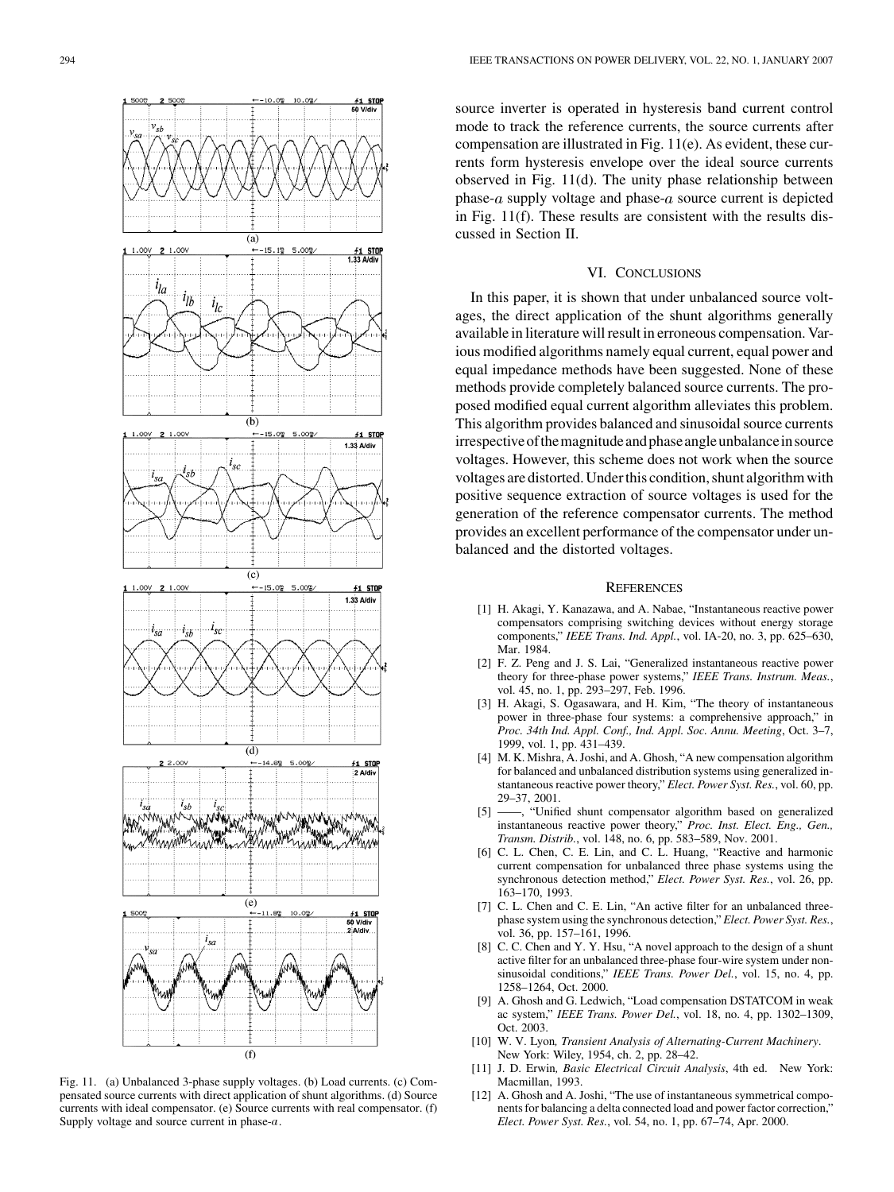<span id="page-6-0"></span>

Fig. 11. (a) Unbalanced 3-phase supply voltages. (b) Load currents. (c) Compensated source currents with direct application of shunt algorithms. (d) Source currents with ideal compensator. (e) Source currents with real compensator. (f) Supply voltage and source current in phase-a.

source inverter is operated in hysteresis band current control mode to track the reference currents, the source currents after compensation are illustrated in Fig. 11(e). As evident, these currents form hysteresis envelope over the ideal source currents observed in Fig. 11(d). The unity phase relationship between phase- $a$  supply voltage and phase- $a$  source current is depicted in Fig. 11(f). These results are consistent with the results discussed in [Section II](#page-0-0).

# VI. CONCLUSIONS

In this paper, it is shown that under unbalanced source voltages, the direct application of the shunt algorithms generally available in literature will result in erroneous compensation. Various modified algorithms namely equal current, equal power and equal impedance methods have been suggested. None of these methods provide completely balanced source currents. The proposed modified equal current algorithm alleviates this problem. This algorithm provides balanced and sinusoidal source currents irrespectiveofthemagnitudeandphaseangleunbalanceinsource voltages. However, this scheme does not work when the source voltages are distorted. Under this condition, shunt algorithm with positive sequence extraction of source voltages is used for the generation of the reference compensator currents. The method provides an excellent performance of the compensator under unbalanced and the distorted voltages.

## **REFERENCES**

- [1] H. Akagi, Y. Kanazawa, and A. Nabae, "Instantaneous reactive power compensators comprising switching devices without energy storage components," *IEEE Trans. Ind. Appl.*, vol. IA-20, no. 3, pp. 625–630, Mar. 1984.
- [2] F. Z. Peng and J. S. Lai, "Generalized instantaneous reactive power theory for three-phase power systems," *IEEE Trans. Instrum. Meas.*, vol. 45, no. 1, pp. 293–297, Feb. 1996.
- [3] H. Akagi, S. Ogasawara, and H. Kim, "The theory of instantaneous power in three-phase four systems: a comprehensive approach," in *Proc. 34th Ind. Appl. Conf., Ind. Appl. Soc. Annu. Meeting*, Oct. 3–7, 1999, vol. 1, pp. 431–439.
- [4] M. K. Mishra, A. Joshi, and A. Ghosh, "A new compensation algorithm for balanced and unbalanced distribution systems using generalized instantaneous reactive power theory," *Elect. Power Syst. Res.*, vol. 60, pp. 29–37, 2001.
- [5] ——, "Unified shunt compensator algorithm based on generalized instantaneous reactive power theory," *Proc. Inst. Elect. Eng., Gen., Transm. Distrib.*, vol. 148, no. 6, pp. 583–589, Nov. 2001.
- [6] C. L. Chen, C. E. Lin, and C. L. Huang, "Reactive and harmonic current compensation for unbalanced three phase systems using the synchronous detection method," *Elect. Power Syst. Res.*, vol. 26, pp. 163–170, 1993.
- [7] C. L. Chen and C. E. Lin, "An active filter for an unbalanced threephase system using the synchronous detection," *Elect. Power Syst. Res.*, vol. 36, pp. 157–161, 1996.
- [8] C. C. Chen and Y. Y. Hsu, "A novel approach to the design of a shunt active filter for an unbalanced three-phase four-wire system under nonsinusoidal conditions," *IEEE Trans. Power Del.*, vol. 15, no. 4, pp. 1258–1264, Oct. 2000.
- [9] A. Ghosh and G. Ledwich, "Load compensation DSTATCOM in weak ac system," *IEEE Trans. Power Del.*, vol. 18, no. 4, pp. 1302–1309, Oct. 2003.
- [10] W. V. Lyon*, Transient Analysis of Alternating-Current Machinery*. New York: Wiley, 1954, ch. 2, pp. 28–42.
- [11] J. D. Erwin*, Basic Electrical Circuit Analysis*, 4th ed. New York: Macmillan, 1993.
- [12] A. Ghosh and A. Joshi, "The use of instantaneous symmetrical components for balancing a delta connected load and power factor correction," *Elect. Power Syst. Res.*, vol. 54, no. 1, pp. 67–74, Apr. 2000.